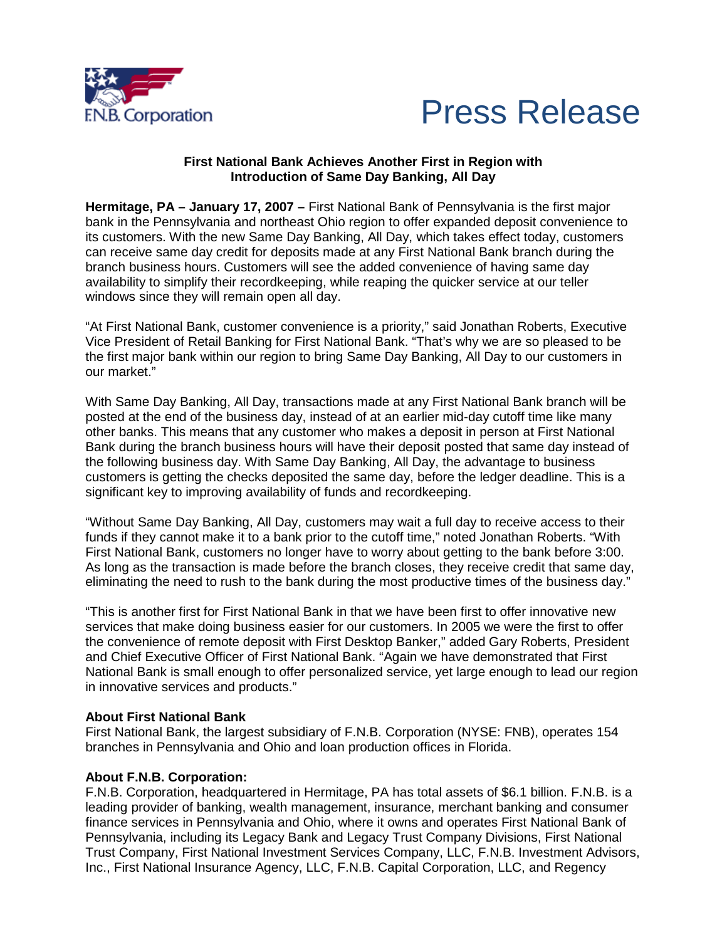



## **First National Bank Achieves Another First in Region with Introduction of Same Day Banking, All Day**

**Hermitage, PA – January 17, 2007 –** First National Bank of Pennsylvania is the first major bank in the Pennsylvania and northeast Ohio region to offer expanded deposit convenience to its customers. With the new Same Day Banking, All Day, which takes effect today, customers can receive same day credit for deposits made at any First National Bank branch during the branch business hours. Customers will see the added convenience of having same day availability to simplify their recordkeeping, while reaping the quicker service at our teller windows since they will remain open all day.

"At First National Bank, customer convenience is a priority," said Jonathan Roberts, Executive Vice President of Retail Banking for First National Bank. "That's why we are so pleased to be the first major bank within our region to bring Same Day Banking, All Day to our customers in our market."

With Same Day Banking, All Day, transactions made at any First National Bank branch will be posted at the end of the business day, instead of at an earlier mid-day cutoff time like many other banks. This means that any customer who makes a deposit in person at First National Bank during the branch business hours will have their deposit posted that same day instead of the following business day. With Same Day Banking, All Day, the advantage to business customers is getting the checks deposited the same day, before the ledger deadline. This is a significant key to improving availability of funds and recordkeeping.

"Without Same Day Banking, All Day, customers may wait a full day to receive access to their funds if they cannot make it to a bank prior to the cutoff time," noted Jonathan Roberts. "With First National Bank, customers no longer have to worry about getting to the bank before 3:00. As long as the transaction is made before the branch closes, they receive credit that same day, eliminating the need to rush to the bank during the most productive times of the business day."

"This is another first for First National Bank in that we have been first to offer innovative new services that make doing business easier for our customers. In 2005 we were the first to offer the convenience of remote deposit with First Desktop Banker," added Gary Roberts, President and Chief Executive Officer of First National Bank. "Again we have demonstrated that First National Bank is small enough to offer personalized service, yet large enough to lead our region in innovative services and products."

## **About First National Bank**

First National Bank, the largest subsidiary of F.N.B. Corporation (NYSE: FNB), operates 154 branches in Pennsylvania and Ohio and loan production offices in Florida.

## **About F.N.B. Corporation:**

F.N.B. Corporation, headquartered in Hermitage, PA has total assets of \$6.1 billion. F.N.B. is a leading provider of banking, wealth management, insurance, merchant banking and consumer finance services in Pennsylvania and Ohio, where it owns and operates First National Bank of Pennsylvania, including its Legacy Bank and Legacy Trust Company Divisions, First National Trust Company, First National Investment Services Company, LLC, F.N.B. Investment Advisors, Inc., First National Insurance Agency, LLC, F.N.B. Capital Corporation, LLC, and Regency